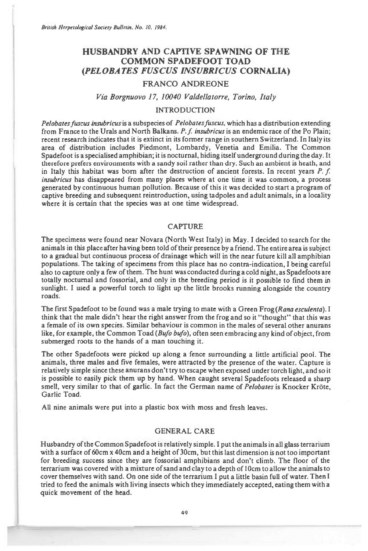*British Herpetological Society Bulletin, No. 10, 1984.* 

# **HUSBANDRY AND CAPTIVE SPAWNING OF THE COMMON SPADEFOOT TOAD**  *(PELOBATES FUSCUS INSUBRICUS* **CORNALIA)**

# **FRANCO ANDREONE**

# Via Borgnuovo 17, 10040 Valdellatorre, Torino, Italy

#### INTRODUCTION

*Pelobates fuscus insubricus is* a subspecies of *Pelobatesfuscus,* which has a distribution extending from France to the Urals and North Balkans. *P. f insubricus is an endemic* race of the Po Plain; recent research indicates that it is extinct in its former range in southern Switzerland. In Italy its area of distribution includes Piedmont, Lombardy, Venetia and Emilia. The Common Spadefoot is a specialised amphibian; it is nocturnal, hiding itself underground during the day. It therefore prefers environments with a sandy soil rather than dry. Such an ambient is heath, and in Italy this habitat was born after the destruction of ancient forests. In recent years *P. f insubricus* has disappeared from many places where at one time it was common, a process generated by continuous human pollution. Because of this it was decided to start a program of captive breeding and subsequent reintroduction, using tadpoles and adult animals, in a locality *where it is certain that* the species was at one time widespread.

### CAPTURE

The specimens were found near Novara (North West Italy) in May. I decided to search for the animals in this place after having been told of their presence by a friend. The entire area is subject to a gradual but continuous process of drainage which will in the near future kill all amphibian populations. The taking of specimens from this place has no contra-indication, I being careful also to capture only a few of them. The hunt was conducted during a cold night, as Spadefoots are totally nocturnal and fossorial, and only in the breeding period is it possible to find them in sunlight. I used a powerful torch to light up the little brooks running alongside the country roads.

The first Spadefoot to be found was a male trying to mate with a Green Frog *(Rana esculenta). I*  think that the male didn't hear the right answer from the frog and so it "thought" that this was a female of its own species. Similar behaviour is common in the males of several other anurans like, for example, the Common Toad *(Bujo bujo),* often seen embracing any kind of object, from submerged roots to the hands of a man touching it.

The other Spadefoots were picked up along a fence surrounding a little artificial pool. The animals, three males and five females, were attracted by the presence of the water. Capture is relatively simple since these anurans don't try to escape when exposed under torch light, and so it is possible to easily pick them up by hand. When caught several Spadefoots released a sharp smell, very similar to that of garlic. In fact the German name of *Pelobates* is Knocker Krote, Garlic Toad.

All nine animals were put into a plastic box with moss and fresh leaves.

### GENERAL CARE

Husbandry of the Common Spadefoot is relatively simple. I put the animals in all glass terrarium with a surface of 60cm x 40cm and a height of 30cm, but this last dimension is not too important for breeding success since they are fossorial amphibians and don't climb. The floor of the terrarium was covered with a mixture of sand and clay to a depth of 10cm to allow the animals to cover themselves with sand. On one side of the terrarium I put a little basin full of water. Then I tried to feed the animals with living insects which they immediately accepted, eating them with a quick movement of the head.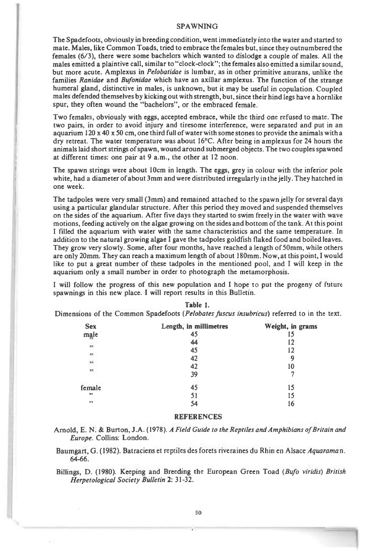#### **SPAWNING**

**The Spadefoots, obviously in breeding condition, went immediately into the water and started to mate. Males, like Common Toads, tried to embrace the females but, since they outnumbered the females (6/3), there were some bachelors which wanted to dislodge a couple of males. All the males emitted a plaintive call, similar to "clock-clock"; the females also emitted a similar sound, but more acute. Amplexus in** *Pelobatidae* **is lumbar, as in other primitive anurans, unlike the families** *Ranidae* **and** *Bufonidae* **which have an axillar amplexus. The function of the strange humeral gland, distinctive in males, is unknown, but it may be useful in copulation. Coupled males defended themselves by kicking out with strength, but, since their hind legs have a hornlike spur, they often wound the "bachelors", or the embraced female.** 

**Two females, obviously with eggs, accepted embrace, while the third one refused to mate. The two pairs, in order to avoid injury and tiresome interference, were separated and put in an aquarium 120 x 40 x 50 cm, one third full of water with some stones to provide the animals with a dry retreat. The water temperature was about 16°C. After being in amplexus for 24 hours the animals laid short strings of spawn, wound around submerged objects. The two couples spawned at different times: one pair at 9 a.m., the other at 12 noon.** 

**The spawn strings were about 10cm in length. The eggs, grey in colour with the inferior pole white, had a diameter of about 3mm and were distributed irregularly in the jelly. They hatched in one week.** 

**The tadpoles were very small (3mm) and remained attached to the spawn jelly for several days using a particular glandular structure. After this period they moved and suspended themselves on the sides of the aquarium. After five days they started to swim freely in the water with wave motions, feeding actively on the algae growing on the sides and bottom of the tank. At this point I filled the aquarium with water with the same characteristics and the same temperature. In addition to the natural growing algae I gave the tadpoles goldfish flaked food and boiled leaves. They grow very slowly. Some, after four months, have reached a length of 50mm, while others are only 20mm. They can reach a maximum length of about 180mm. Now, at this point, I would like to put a great number of these tadpoles in the mentioned pool, and I will keep in the aquarium only a small number in order to photograph the metamorphosis.** 

**I will follow the progress of this new population and I hope to put the progeny of future spawnings in this new place. I will report results in this Bulletin.** 

| <b>Sex</b>              | Length, in millimetres | Weight, in grams |
|-------------------------|------------------------|------------------|
| male                    | 45                     |                  |
|                         | 44                     |                  |
| $\blacksquare$          | 45                     | 12               |
| $\overline{\mathbf{1}}$ | 42                     | 9                |
| 39                      | 42                     | 10               |
| 29                      | 39                     |                  |
| female                  | 45                     | 15               |
| 99                      | 51                     | 15               |
| $\rightarrow \ast$      | 54                     | 16               |

**Table 1.** 

**Dimensions of the Common Spadefoots** *(Pelobates fuscus insubricus)* **referred to in the text.** 

### **REFERENCES**

**Arnold, E. N. & Burton, J.A. (1978).** *A Field Guide to the Reptiles and Amphibians of Britain and Europe.* **Collins: London.** 

**Baumgart, G. (1982). Batraciens et reptiles des forets riveraines du Rhin en Alsace** *Aquaraman.*  **64-66.** 

**Billings, D. (1980). Keeping and Breeding the European Green Toad** *(Bufo viridis) British Herpetological Society Bulletin* **2: 31-32.**